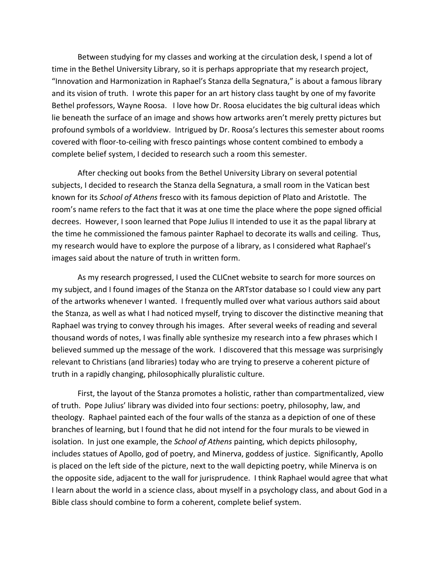Between studying for my classes and working at the circulation desk, I spend a lot of time in the Bethel University Library, so it is perhaps appropriate that my research project, "Innovation and Harmonization in Raphael's Stanza della Segnatura," is about a famous library and its vision of truth. I wrote this paper for an art history class taught by one of my favorite Bethel professors, Wayne Roosa. I love how Dr. Roosa elucidates the big cultural ideas which lie beneath the surface of an image and shows how artworks aren't merely pretty pictures but profound symbols of a worldview. Intrigued by Dr. Roosa's lectures this semester about rooms covered with floor‐to‐ceiling with fresco paintings whose content combined to embody a complete belief system, I decided to research such a room this semester.

After checking out books from the Bethel University Library on several potential subjects, I decided to research the Stanza della Segnatura, a small room in the Vatican best known for its *School of Athens* fresco with its famous depiction of Plato and Aristotle. The room's name refers to the fact that it was at one time the place where the pope signed official decrees. However, I soon learned that Pope Julius II intended to use it as the papal library at the time he commissioned the famous painter Raphael to decorate its walls and ceiling. Thus, my research would have to explore the purpose of a library, as I considered what Raphael's images said about the nature of truth in written form.

As my research progressed, I used the CLICnet website to search for more sources on my subject, and I found images of the Stanza on the ARTstor database so I could view any part of the artworks whenever I wanted. I frequently mulled over what various authors said about the Stanza, as well as what I had noticed myself, trying to discover the distinctive meaning that Raphael was trying to convey through his images. After several weeks of reading and several thousand words of notes, I was finally able synthesize my research into a few phrases which I believed summed up the message of the work. I discovered that this message was surprisingly relevant to Christians (and libraries) today who are trying to preserve a coherent picture of truth in a rapidly changing, philosophically pluralistic culture.

First, the layout of the Stanza promotes a holistic, rather than compartmentalized, view of truth. Pope Julius' library was divided into four sections: poetry, philosophy, law, and theology. Raphael painted each of the four walls of the stanza as a depiction of one of these branches of learning, but I found that he did not intend for the four murals to be viewed in isolation. In just one example, the *School of Athens* painting, which depicts philosophy, includes statues of Apollo, god of poetry, and Minerva, goddess of justice. Significantly, Apollo is placed on the left side of the picture, next to the wall depicting poetry, while Minerva is on the opposite side, adjacent to the wall for jurisprudence. I think Raphael would agree that what I learn about the world in a science class, about myself in a psychology class, and about God in a Bible class should combine to form a coherent, complete belief system.